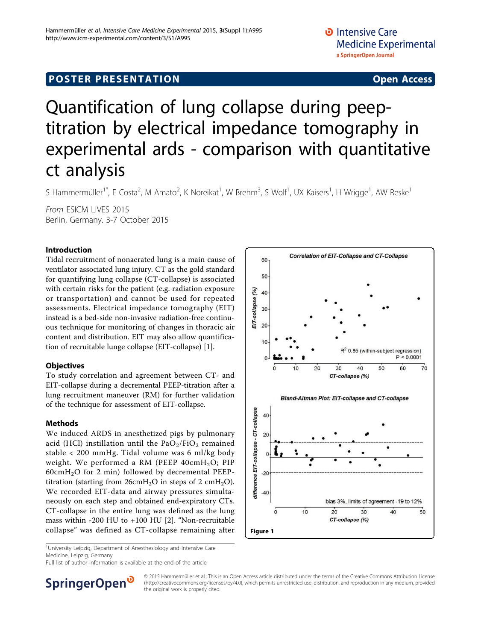# <span id="page-0-0"></span>**POSTER PRESENTATION CONSUMING ACCESS**

# Quantification of lung collapse during peeptitration by electrical impedance tomography in experimental ards - comparison with quantitative ct analysis

S Hammermüller<sup>1\*</sup>, E Costa<sup>2</sup>, M Amato<sup>2</sup>, K Noreikat<sup>1</sup>, W Brehm<sup>3</sup>, S Wolf<sup>1</sup>, UX Kaisers<sup>1</sup>, H Wrigge<sup>1</sup>, AW Reske<sup>1</sup>

From ESICM LIVES 2015 Berlin, Germany. 3-7 October 2015

# Introduction

Tidal recruitment of nonaerated lung is a main cause of ventilator associated lung injury. CT as the gold standard for quantifying lung collapse (CT-collapse) is associated with certain risks for the patient (e.g. radiation exposure or transportation) and cannot be used for repeated assessments. Electrical impedance tomography (EIT) instead is a bed-side non-invasive radiation-free continuous technique for monitoring of changes in thoracic air content and distribution. EIT may also allow quantification of recruitable lunge collapse (EIT-collapse) [[1\]](#page-1-0).

# **Objectives**

To study correlation and agreement between CT- and EIT-collapse during a decremental PEEP-titration after a lung recruitment maneuver (RM) for further validation of the technique for assessment of EIT-collapse.

#### Methods

We induced ARDS in anesthetized pigs by pulmonary acid (HCl) instillation until the  $PaO<sub>2</sub>/FiO<sub>2</sub>$  remained stable < 200 mmHg. Tidal volume was 6 ml/kg body weight. We performed a RM (PEEP  $40 \text{cm} H_2O$ ; PIP 60cm $H_2O$  for 2 min) followed by decremental PEEPtitration (starting from  $26 \text{cm} H_2\text{O}$  in steps of 2 cmH<sub>2</sub>O). We recorded EIT-data and airway pressures simultaneously on each step and obtained end-expiratory CTs. CT-collapse in the entire lung was defined as the lung mass within -200 HU to +100 HU [\[2](#page-1-0)]. "Non-recruitable collapse" was defined as CT-collapse remaining after



<sup>1</sup>University Leipzig, Department of Anesthesiology and Intensive Care Medicine, Leipzig, Germany

Full list of author information is available at the end of the article



© 2015 Hammermüller et al.; This is an Open Access article distributed under the terms of the Creative Commons Attribution License [\(http://creativecommons.org/licenses/by/4.0](http://creativecommons.org/licenses/by/4.0)), which permits unrestricted use, distribution, and reproduction in any medium, provided the original work is properly cited.